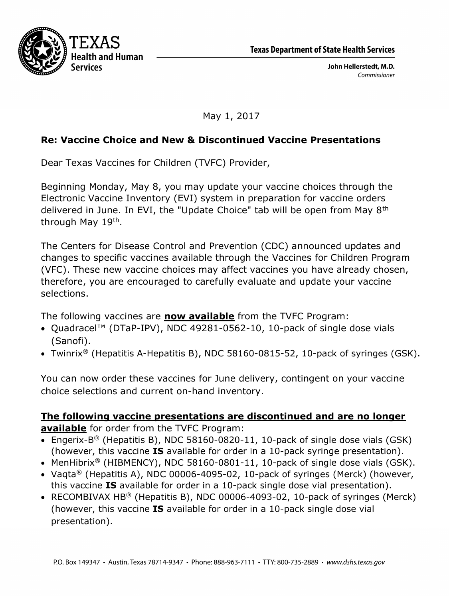



John Hellerstedt, M.D. Commissioner

May 1, 2017

## Re: Vaccine Choice and New & Discontinued Vaccine Presentations

Dear Texas Vaccines for Children (TVFC) Provider,

Beginning Monday, May 8, you may update your vaccine choices through the Electronic Vaccine Inventory (EVI) system in preparation for vaccine orders delivered in June. In EVI, the "Update Choice" tab will be open from May 8th through May 19<sup>th</sup>.

The Centers for Disease Control and Prevention (CDC) announced updates and changes to specific vaccines available through the Vaccines for Children Program (VFC). These new vaccine choices may affect vaccines you have already chosen, therefore, you are encouraged to carefully evaluate and update your vaccine selections.

The following vaccines are **now available** from the TVFC Program:

- Quadracel™ (DTaP-IPV), NDC 49281-0562-10, 10-pack of single dose vials (Sanofi).
- Twinrix® (Hepatitis A-Hepatitis B), NDC 58160-0815-52, 10-pack of syringes (GSK).

You can now order these vaccines for June delivery, contingent on your vaccine choice selections and current on-hand inventory.

## The following vaccine presentations are discontinued and are no longer available for order from the TVFC Program:

- Engerix-B<sup>®</sup> (Hepatitis B), NDC 58160-0820-11, 10-pack of single dose vials (GSK) (however, this vaccine IS available for order in a 10-pack syringe presentation).
- MenHibrix<sup>®</sup> (HIBMENCY), NDC 58160-0801-11, 10-pack of single dose vials (GSK).
- Vaqta® (Hepatitis A), NDC 00006-4095-02, 10-pack of syringes (Merck) (however, this vaccine IS available for order in a 10-pack single dose vial presentation).
- RECOMBIVAX HB® (Hepatitis B), NDC 00006-4093-02, 10-pack of syringes (Merck) (however, this vaccine IS available for order in a 10-pack single dose vial presentation).